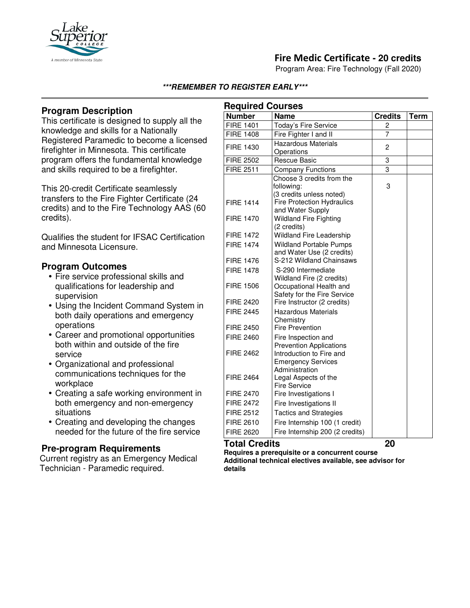

# **Fire Medic Certificate - 20 credits**

Program Area: Fire Technology (Fall 2020)

#### **\*\*\*REMEMBER TO REGISTER EARLY\*\*\***

## **Program Description**

This certificate is designed to supply all the knowledge and skills for a Nationally Registered Paramedic to become a licensed firefighter in Minnesota. This certificate program offers the fundamental knowledge and skills required to be a firefighter.

This 20-credit Certificate seamlessly transfers to the Fire Fighter Certificate (24 credits) and to the Fire Technology AAS (60 credits).

Qualifies the student for IFSAC Certification and Minnesota Licensure.

#### **Program Outcomes**

- Fire service professional skills and qualifications for leadership and supervision
- Using the Incident Command System in both daily operations and emergency operations
- Career and promotional opportunities both within and outside of the fire service
- Organizational and professional communications techniques for the workplace
- Creating a safe working environment in both emergency and non-emergency situations
- Creating and developing the changes needed for the future of the fire service

### **Pre-program Requirements**

Current registry as an Emergency Medical Technician - Paramedic required.

| <b>Required Courses</b> |                                                            |                |             |
|-------------------------|------------------------------------------------------------|----------------|-------------|
| <b>Number</b>           | <b>Name</b>                                                | <b>Credits</b> | <b>Term</b> |
| <b>FIRE 1401</b>        | Today's Fire Service                                       | 2              |             |
| <b>FIRE 1408</b>        | Fire Fighter I and II                                      | $\overline{7}$ |             |
| FIRE 1430               | <b>Hazardous Materials</b>                                 | 2              |             |
|                         | Operations                                                 |                |             |
| <b>FIRE 2502</b>        | <b>Rescue Basic</b>                                        | 3              |             |
| <b>FIRE 2511</b>        | <b>Company Functions</b>                                   | 3              |             |
|                         | Choose 3 credits from the                                  |                |             |
|                         | following:                                                 | 3              |             |
|                         | (3 credits unless noted)                                   |                |             |
| <b>FIRE 1414</b>        | <b>Fire Protection Hydraulics</b>                          |                |             |
|                         | and Water Supply                                           |                |             |
| <b>FIRE 1470</b>        | <b>Wildland Fire Fighting</b>                              |                |             |
|                         | (2 credits)                                                |                |             |
| <b>FIRE 1472</b>        | Wildland Fire Leadership                                   |                |             |
| <b>FIRE 1474</b>        | <b>Wildland Portable Pumps</b>                             |                |             |
|                         | and Water Use (2 credits)                                  |                |             |
| <b>FIRE 1476</b>        | S-212 Wildland Chainsaws                                   |                |             |
| <b>FIRE 1478</b>        | S-290 Intermediate                                         |                |             |
|                         | Wildland Fire (2 credits)                                  |                |             |
| <b>FIRE 1506</b>        | Occupational Health and                                    |                |             |
| <b>FIRE 2420</b>        | Safety for the Fire Service<br>Fire Instructor (2 credits) |                |             |
| <b>FIRE 2445</b>        |                                                            |                |             |
|                         | <b>Hazardous Materials</b><br>Chemistry                    |                |             |
| <b>FIRE 2450</b>        | <b>Fire Prevention</b>                                     |                |             |
| <b>FIRE 2460</b>        | Fire Inspection and                                        |                |             |
|                         | <b>Prevention Applications</b>                             |                |             |
| <b>FIRE 2462</b>        | Introduction to Fire and                                   |                |             |
|                         | <b>Emergency Services</b>                                  |                |             |
|                         | Administration                                             |                |             |
| <b>FIRE 2464</b>        | Legal Aspects of the                                       |                |             |
|                         | <b>Fire Service</b>                                        |                |             |
| <b>FIRE 2470</b>        | Fire Investigations I                                      |                |             |
| <b>FIRE 2472</b>        | Fire Investigations II                                     |                |             |
| <b>FIRE 2512</b>        | <b>Tactics and Strategies</b>                              |                |             |
| <b>FIRE 2610</b>        | Fire Internship 100 (1 credit)                             |                |             |
| <b>FIRE 2620</b>        | Fire Internship 200 (2 credits)                            |                |             |

### **Total Credits 20**

**Requires a prerequisite or a concurrent course Additional technical electives available, see advisor for details**